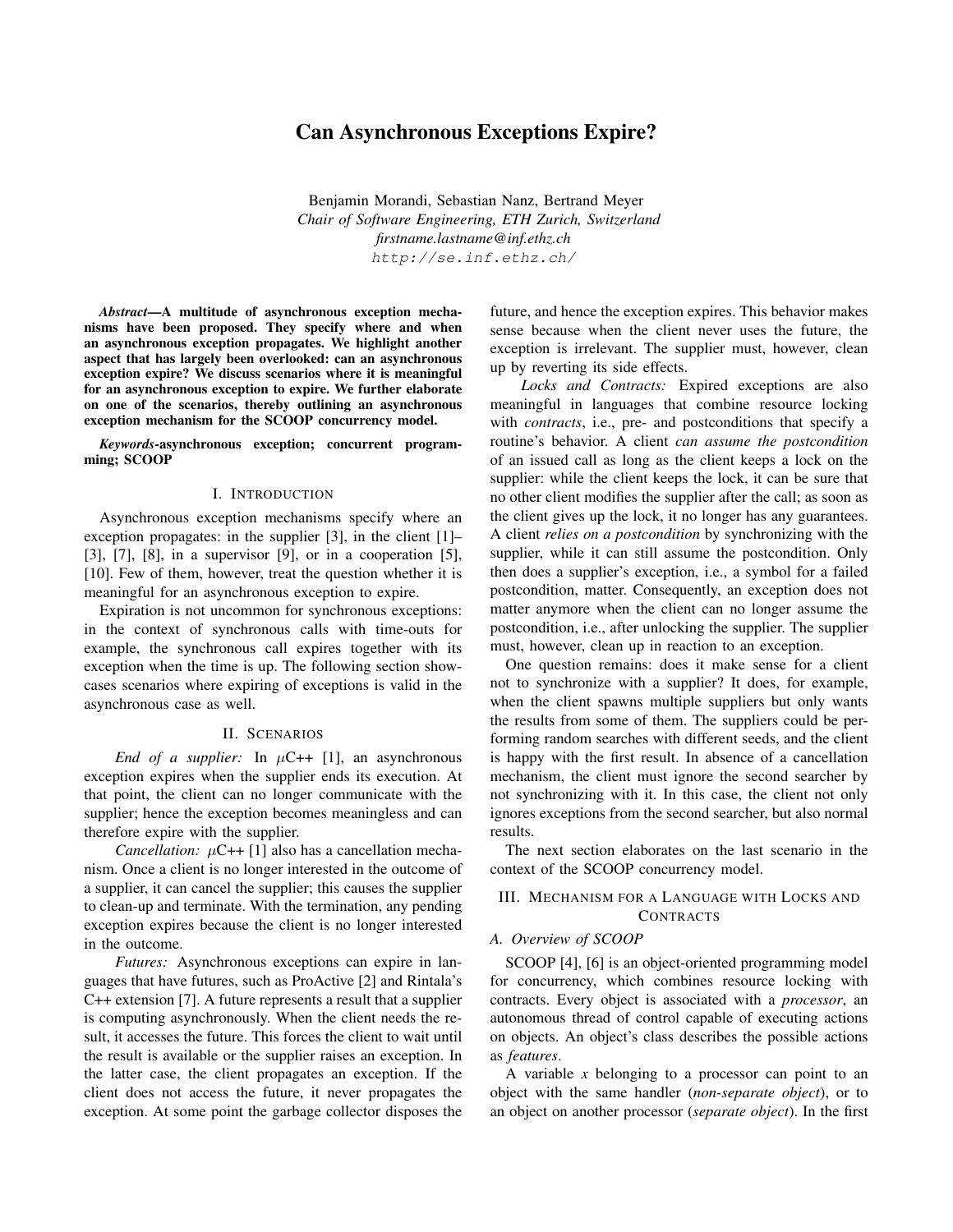# Can Asynchronous Exceptions Expire?

Benjamin Morandi, Sebastian Nanz, Bertrand Meyer *Chair of Software Engineering, ETH Zurich, Switzerland firstname.lastname@inf.ethz.ch* http://se.inf.ethz.ch/

*Abstract*—A multitude of asynchronous exception mechanisms have been proposed. They specify where and when an asynchronous exception propagates. We highlight another aspect that has largely been overlooked: can an asynchronous exception expire? We discuss scenarios where it is meaningful for an asynchronous exception to expire. We further elaborate on one of the scenarios, thereby outlining an asynchronous exception mechanism for the SCOOP concurrency model.

*Keywords*-asynchronous exception; concurrent programming; SCOOP

#### I. INTRODUCTION

Asynchronous exception mechanisms specify where an exception propagates: in the supplier [3], in the client [1]– [3], [7], [8], in a supervisor [9], or in a cooperation [5], [10]. Few of them, however, treat the question whether it is meaningful for an asynchronous exception to expire.

Expiration is not uncommon for synchronous exceptions: in the context of synchronous calls with time-outs for example, the synchronous call expires together with its exception when the time is up. The following section showcases scenarios where expiring of exceptions is valid in the asynchronous case as well.

### II. SCENARIOS

*End of a supplier:* In  $\mu$ C++ [1], an asynchronous exception expires when the supplier ends its execution. At that point, the client can no longer communicate with the supplier; hence the exception becomes meaningless and can therefore expire with the supplier.

*Cancellation:*  $\mu$ C++ [1] also has a cancellation mechanism. Once a client is no longer interested in the outcome of a supplier, it can cancel the supplier; this causes the supplier to clean-up and terminate. With the termination, any pending exception expires because the client is no longer interested in the outcome.

*Futures:* Asynchronous exceptions can expire in languages that have futures, such as ProActive [2] and Rintala's C++ extension [7]. A future represents a result that a supplier is computing asynchronously. When the client needs the result, it accesses the future. This forces the client to wait until the result is available or the supplier raises an exception. In the latter case, the client propagates an exception. If the client does not access the future, it never propagates the exception. At some point the garbage collector disposes the future, and hence the exception expires. This behavior makes sense because when the client never uses the future, the exception is irrelevant. The supplier must, however, clean up by reverting its side effects.

*Locks and Contracts:* Expired exceptions are also meaningful in languages that combine resource locking with *contracts*, i.e., pre- and postconditions that specify a routine's behavior. A client *can assume the postcondition* of an issued call as long as the client keeps a lock on the supplier: while the client keeps the lock, it can be sure that no other client modifies the supplier after the call; as soon as the client gives up the lock, it no longer has any guarantees. A client *relies on a postcondition* by synchronizing with the supplier, while it can still assume the postcondition. Only then does a supplier's exception, i.e., a symbol for a failed postcondition, matter. Consequently, an exception does not matter anymore when the client can no longer assume the postcondition, i.e., after unlocking the supplier. The supplier must, however, clean up in reaction to an exception.

One question remains: does it make sense for a client not to synchronize with a supplier? It does, for example, when the client spawns multiple suppliers but only wants the results from some of them. The suppliers could be performing random searches with different seeds, and the client is happy with the first result. In absence of a cancellation mechanism, the client must ignore the second searcher by not synchronizing with it. In this case, the client not only ignores exceptions from the second searcher, but also normal results.

The next section elaborates on the last scenario in the context of the SCOOP concurrency model.

# III. MECHANISM FOR A LANGUAGE WITH LOCKS AND **CONTRACTS**

### *A. Overview of SCOOP*

SCOOP [4], [6] is an object-oriented programming model for concurrency, which combines resource locking with contracts. Every object is associated with a *processor*, an autonomous thread of control capable of executing actions on objects. An object's class describes the possible actions as *features*.

A variable *x* belonging to a processor can point to an object with the same handler (*non-separate object*), or to an object on another processor (*separate object*). In the first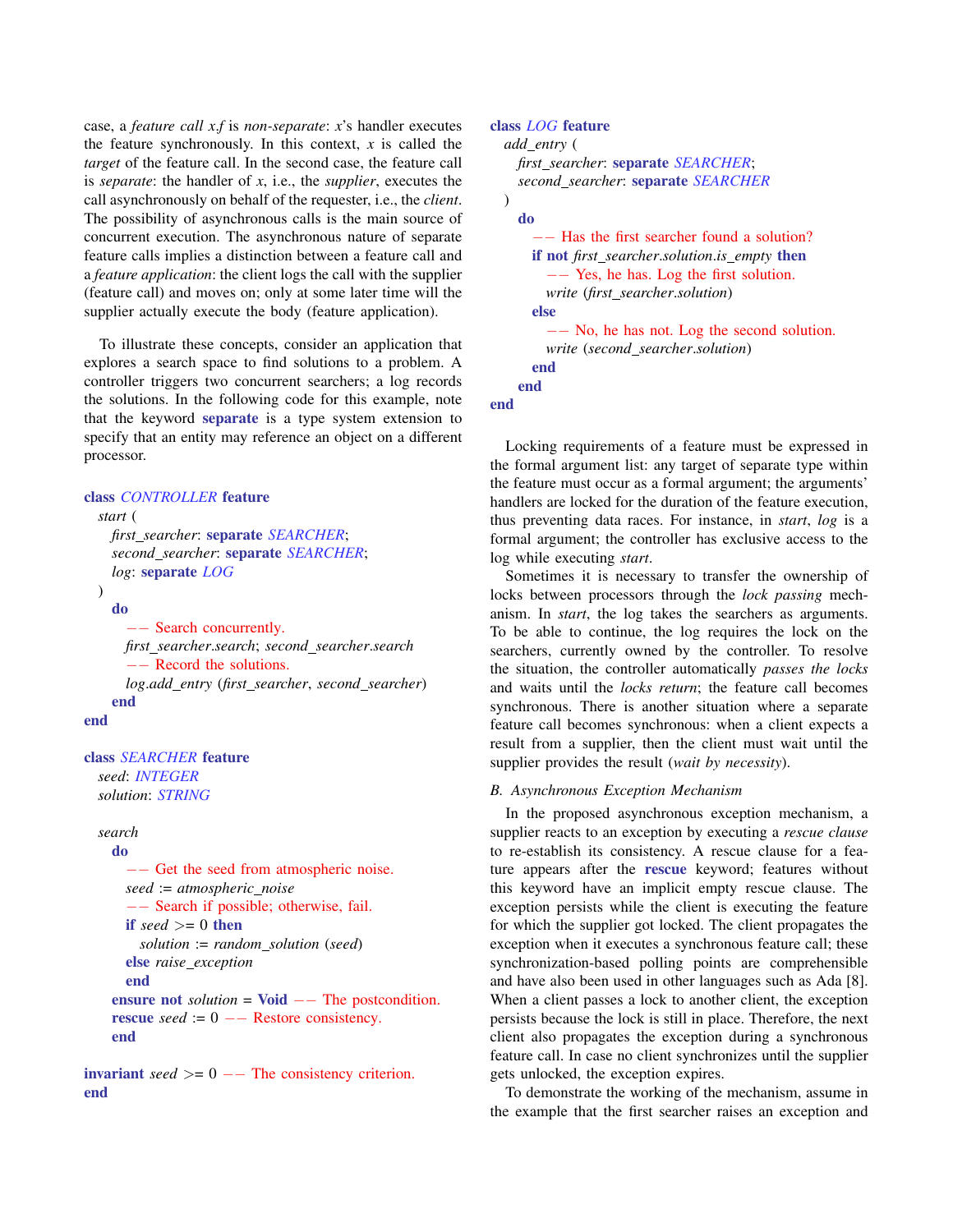case, a *feature call x*.*f* is *non-separate*: *x*'s handler executes the feature synchronously. In this context, *x* is called the *target* of the feature call. In the second case, the feature call is *separate*: the handler of *x*, i.e., the *supplier*, executes the call asynchronously on behalf of the requester, i.e., the *client*. The possibility of asynchronous calls is the main source of concurrent execution. The asynchronous nature of separate feature calls implies a distinction between a feature call and a *feature application*: the client logs the call with the supplier (feature call) and moves on; only at some later time will the supplier actually execute the body (feature application).

To illustrate these concepts, consider an application that explores a search space to find solutions to a problem. A controller triggers two concurrent searchers; a log records the solutions. In the following code for this example, note that the keyword separate is a type system extension to specify that an entity may reference an object on a different processor.

```
class CONTROLLER feature
```

```
start (
    first searcher: separate SEARCHER;
    second searcher: separate SEARCHER;
    log: separate LOG
 )
    do
      −− Search concurrently.
     first searcher.search; second searcher.search
      −− Record the solutions.
      log.add entry (first searcher, second searcher)
    end
end
```

```
class SEARCHER feature
 seed: INTEGER
 solution: STRING
```

```
search
```

```
do
  −− Get the seed from atmospheric noise.
 seed := atmospheric noise
  −− Search if possible; otherwise, fail.
  if seed \geq 0 then
    solution := random solution (seed)
  else raise exception
  end
ensure not solution = Void −− The postcondition.
rescue seed := 0 - Restore consistency.
end
```
invariant  $seed \ge 0$  -- The consistency criterion. end

# class *LOG* feature

```
add entry (
    first searcher: separate SEARCHER;
    second searcher: separate SEARCHER
 )
    do
      −− Has the first searcher found a solution?
      if not first searcher.solution.is empty then
        −− Yes, he has. Log the first solution.
        write (first searcher.solution)
      else
        −− No, he has not. Log the second solution.
        write (second searcher.solution)
      end
    end
end
```
Locking requirements of a feature must be expressed in the formal argument list: any target of separate type within the feature must occur as a formal argument; the arguments' handlers are locked for the duration of the feature execution, thus preventing data races. For instance, in *start*, *log* is a formal argument; the controller has exclusive access to the log while executing *start*.

Sometimes it is necessary to transfer the ownership of locks between processors through the *lock passing* mechanism. In *start*, the log takes the searchers as arguments. To be able to continue, the log requires the lock on the searchers, currently owned by the controller. To resolve the situation, the controller automatically *passes the locks* and waits until the *locks return*; the feature call becomes synchronous. There is another situation where a separate feature call becomes synchronous: when a client expects a result from a supplier, then the client must wait until the supplier provides the result (*wait by necessity*).

# *B. Asynchronous Exception Mechanism*

In the proposed asynchronous exception mechanism, a supplier reacts to an exception by executing a *rescue clause* to re-establish its consistency. A rescue clause for a feature appears after the rescue keyword; features without this keyword have an implicit empty rescue clause. The exception persists while the client is executing the feature for which the supplier got locked. The client propagates the exception when it executes a synchronous feature call; these synchronization-based polling points are comprehensible and have also been used in other languages such as Ada [8]. When a client passes a lock to another client, the exception persists because the lock is still in place. Therefore, the next client also propagates the exception during a synchronous feature call. In case no client synchronizes until the supplier gets unlocked, the exception expires.

To demonstrate the working of the mechanism, assume in the example that the first searcher raises an exception and